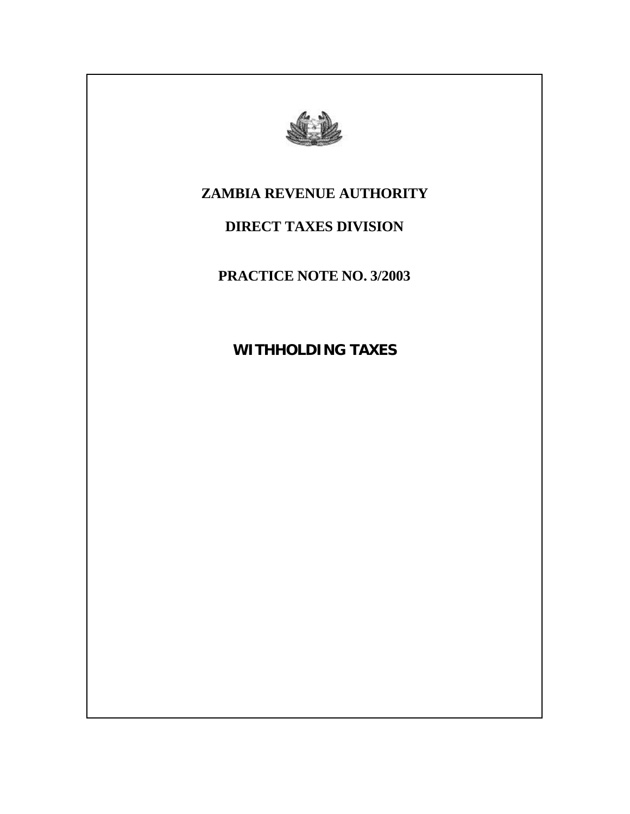

# **ZAMBIA REVENUE AUTHORITY**

# **DIRECT TAXES DIVISION**

**PRACTICE NOTE NO. 3/2003**

**WITHHOLDING TAXES**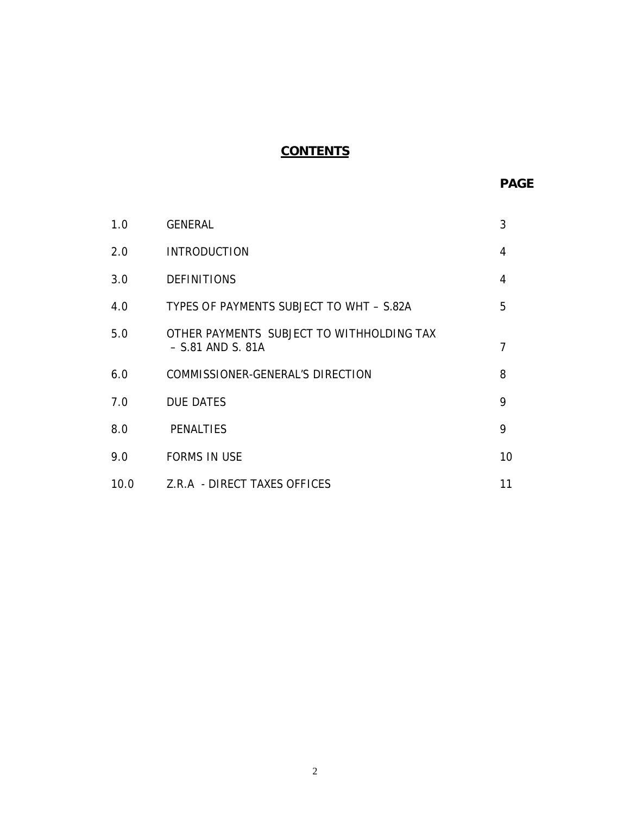# **CONTENTS**

| 1.0  | <b>GENERAL</b>                                                   | 3               |
|------|------------------------------------------------------------------|-----------------|
| 2.0  | <b>INTRODUCTION</b>                                              | 4               |
| 3.0  | <b>DEFINITIONS</b>                                               | 4               |
| 4.0  | TYPES OF PAYMENTS SUBJECT TO WHT - S.82A                         | 5               |
| 5.0  | OTHER PAYMENTS SUBJECT TO WITHHOLDING TAX<br>$-$ S.81 AND S. 81A | 7               |
| 6.0  | COMMISSIONER-GENERAL'S DIRECTION                                 | 8               |
| 7.0  | <b>DUE DATES</b>                                                 | 9               |
| 8.0  | <b>PENALTIES</b>                                                 | 9               |
| 9.0  | <b>FORMS IN USE</b>                                              | 10 <sup>°</sup> |
| 10.0 | Z.R.A - DIRECT TAXES OFFICES                                     | 11              |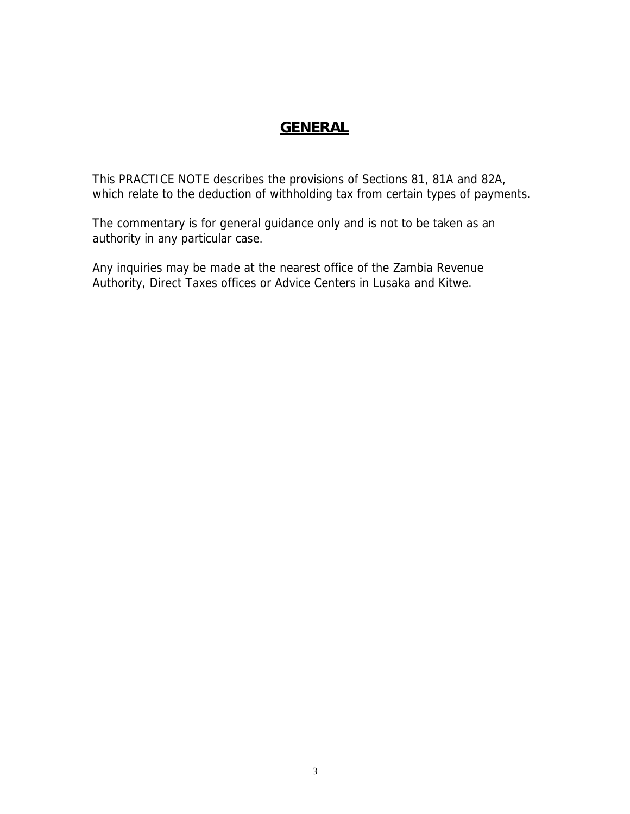# **GENERAL**

This PRACTICE NOTE describes the provisions of Sections 81, 81A and 82A, which relate to the deduction of withholding tax from certain types of payments.

The commentary is for general guidance only and is not to be taken as an authority in any particular case.

Any inquiries may be made at the nearest office of the Zambia Revenue Authority, Direct Taxes offices or Advice Centers in Lusaka and Kitwe.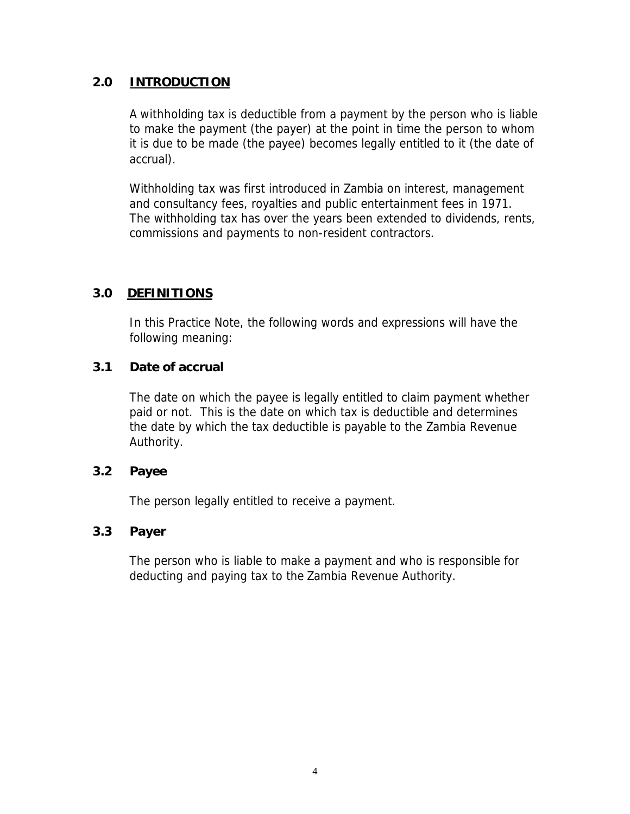### **2.0 INTRODUCTION**

A withholding tax is deductible from a payment by the person who is liable to make the payment (the payer) at the point in time the person to whom it is due to be made (the payee) becomes legally entitled to it (the date of accrual).

Withholding tax was first introduced in Zambia on interest, management and consultancy fees, royalties and public entertainment fees in 1971. The withholding tax has over the years been extended to dividends, rents, commissions and payments to non-resident contractors.

# **3.0 DEFINITIONS**

In this Practice Note, the following words and expressions will have the following meaning:

#### **3.1 Date of accrual**

The date on which the payee is legally entitled to claim payment whether paid or not. This is the date on which tax is deductible and determines the date by which the tax deductible is payable to the Zambia Revenue Authority.

#### **3.2 Payee**

The person legally entitled to receive a payment.

#### **3.3 Payer**

The person who is liable to make a payment and who is responsible for deducting and paying tax to the Zambia Revenue Authority.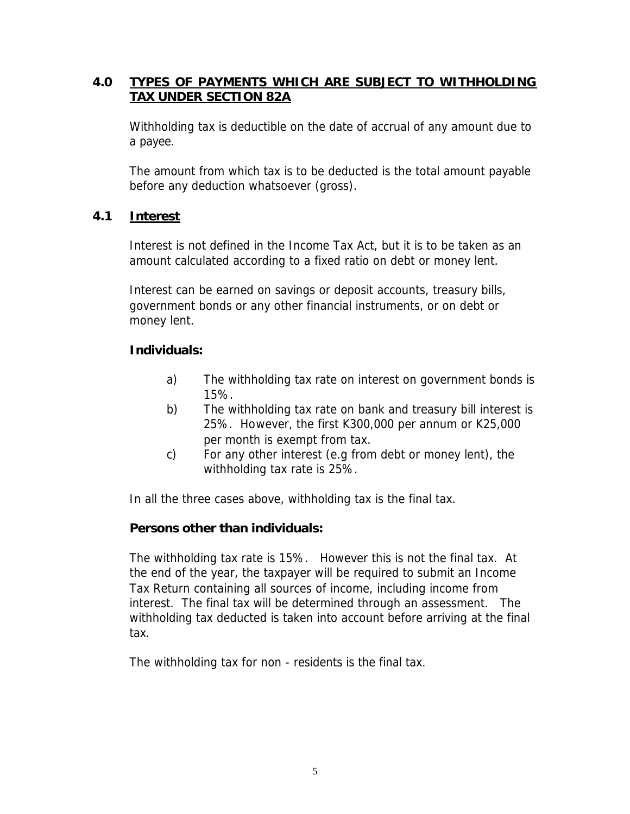# **4.0 TYPES OF PAYMENTS WHICH ARE SUBJECT TO WITHHOLDING TAX UNDER SECTION 82A**

Withholding tax is deductible on the date of accrual of any amount due to a payee.

The amount from which tax is to be deducted is the total amount payable before any deduction whatsoever (gross).

# **4.1 Interest**

Interest is not defined in the Income Tax Act, but it is to be taken as an amount calculated according to a fixed ratio on debt or money lent.

Interest can be earned on savings or deposit accounts, treasury bills, government bonds or any other financial instruments, or on debt or money lent.

#### **Individuals:**

- a) The withholding tax rate on interest on government bonds is 15%.
- b) The withholding tax rate on bank and treasury bill interest is 25%. However, the first K300,000 per annum or K25,000 per month is exempt from tax.
- c) For any other interest (e.g from debt or money lent), the withholding tax rate is 25%.

In all the three cases above, withholding tax is the final tax.

#### **Persons other than individuals:**

The withholding tax rate is 15%. However this is not the final tax. At the end of the year, the taxpayer will be required to submit an Income Tax Return containing all sources of income, including income from interest. The final tax will be determined through an assessment. The withholding tax deducted is taken into account before arriving at the final tax.

The withholding tax for non - residents is the final tax.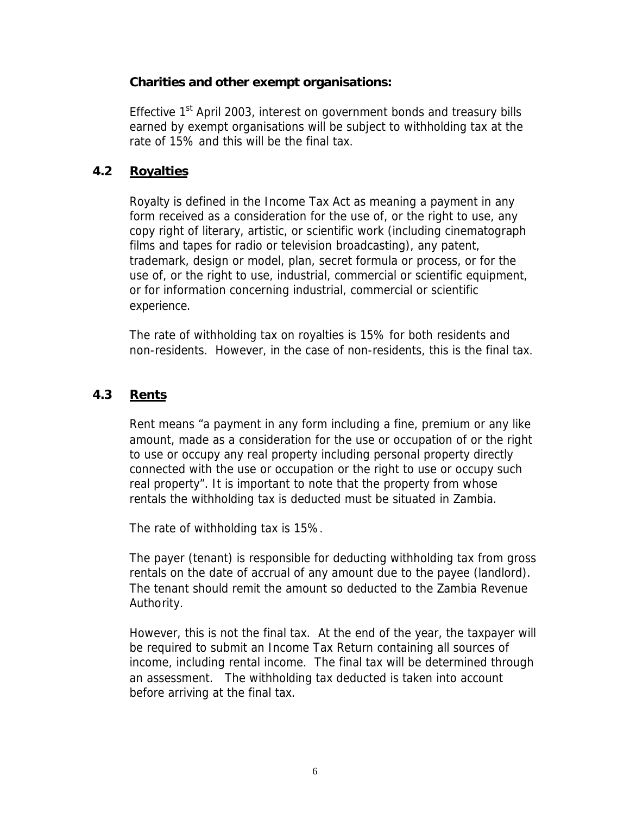#### **Charities and other exempt organisations:**

Effective 1<sup>st</sup> April 2003, interest on government bonds and treasury bills earned by exempt organisations will be subject to withholding tax at the rate of 15% and this will be the final tax.

# **4.2 Royalties**

Royalty is defined in the Income Tax Act as meaning a payment in any form received as a consideration for the use of, or the right to use, any copy right of literary, artistic, or scientific work (including cinematograph films and tapes for radio or television broadcasting), any patent, trademark, design or model, plan, secret formula or process, or for the use of, or the right to use, industrial, commercial or scientific equipment, or for information concerning industrial, commercial or scientific experience.

The rate of withholding tax on royalties is 15% for both residents and non-residents. However, in the case of non-residents, this is the final tax.

# **4.3 Rents**

Rent means "a payment in any form including a fine, premium or any like amount, made as a consideration for the use or occupation of or the right to use or occupy any real property including personal property directly connected with the use or occupation or the right to use or occupy such real property". It is important to note that the property from whose rentals the withholding tax is deducted must be situated in Zambia.

The rate of withholding tax is 15%.

The payer (tenant) is responsible for deducting withholding tax from gross rentals on the date of accrual of any amount due to the payee (landlord). The tenant should remit the amount so deducted to the Zambia Revenue Authority.

However, this is not the final tax. At the end of the year, the taxpayer will be required to submit an Income Tax Return containing all sources of income, including rental income. The final tax will be determined through an assessment. The withholding tax deducted is taken into account before arriving at the final tax.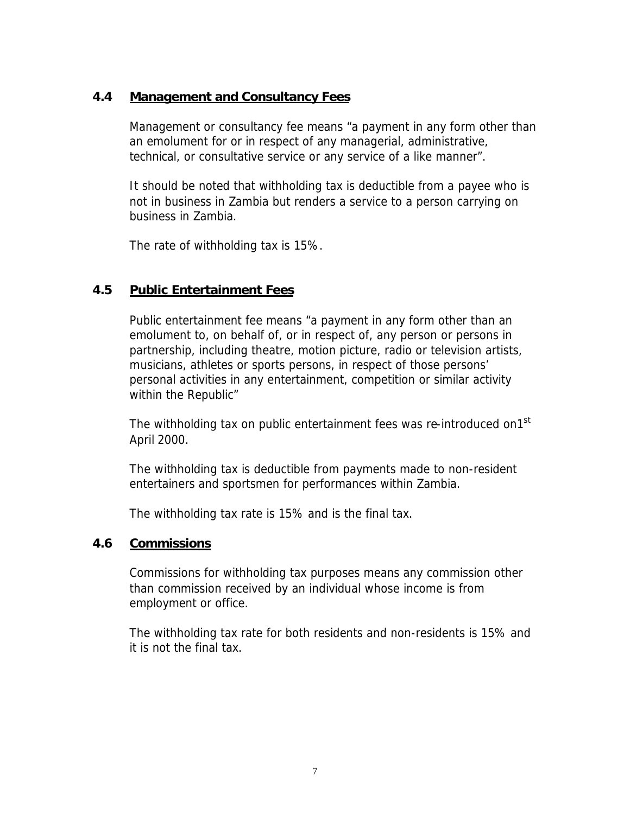# **4.4 Management and Consultancy Fees**

Management or consultancy fee means "a payment in any form other than an emolument for or in respect of any managerial, administrative, technical, or consultative service or any service of a like manner".

It should be noted that withholding tax is deductible from a payee who is not in business in Zambia but renders a service to a person carrying on business in Zambia.

The rate of withholding tax is 15%.

# **4.5 Public Entertainment Fees**

Public entertainment fee means "a payment in any form other than an emolument to, on behalf of, or in respect of, any person or persons in partnership, including theatre, motion picture, radio or television artists, musicians, athletes or sports persons, in respect of those persons' personal activities in any entertainment, competition or similar activity within the Republic"

The withholding tax on public entertainment fees was re-introduced on1<sup>st</sup> April 2000.

The withholding tax is deductible from payments made to non-resident entertainers and sportsmen for performances within Zambia.

The withholding tax rate is 15% and is the final tax.

#### **4.6 Commissions**

Commissions for withholding tax purposes means any commission other than commission received by an individual whose income is from employment or office.

The withholding tax rate for both residents and non-residents is 15% and it is not the final tax.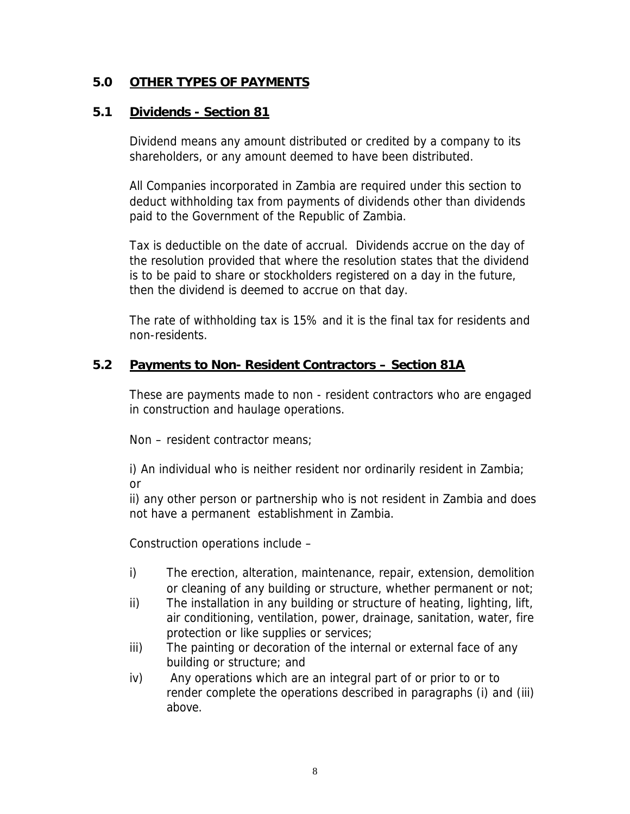### **5.0 OTHER TYPES OF PAYMENTS**

#### **5.1 Dividends - Section 81**

Dividend means any amount distributed or credited by a company to its shareholders, or any amount deemed to have been distributed.

All Companies incorporated in Zambia are required under this section to deduct withholding tax from payments of dividends other than dividends paid to the Government of the Republic of Zambia.

Tax is deductible on the date of accrual. Dividends accrue on the day of the resolution provided that where the resolution states that the dividend is to be paid to share or stockholders registered on a day in the future, then the dividend is deemed to accrue on that day.

The rate of withholding tax is 15% and it is the final tax for residents and non-residents.

#### **5.2 Payments to Non- Resident Contractors – Section 81A**

These are payments made to non - resident contractors who are engaged in construction and haulage operations.

Non – resident contractor means;

i) An individual who is neither resident nor ordinarily resident in Zambia; or

ii) any other person or partnership who is not resident in Zambia and does not have a permanent establishment in Zambia.

Construction operations include –

- i) The erection, alteration, maintenance, repair, extension, demolition or cleaning of any building or structure, whether permanent or not;
- ii) The installation in any building or structure of heating, lighting, lift, air conditioning, ventilation, power, drainage, sanitation, water, fire protection or like supplies or services;
- iii) The painting or decoration of the internal or external face of any building or structure; and
- iv) Any operations which are an integral part of or prior to or to render complete the operations described in paragraphs (i) and (iii) above.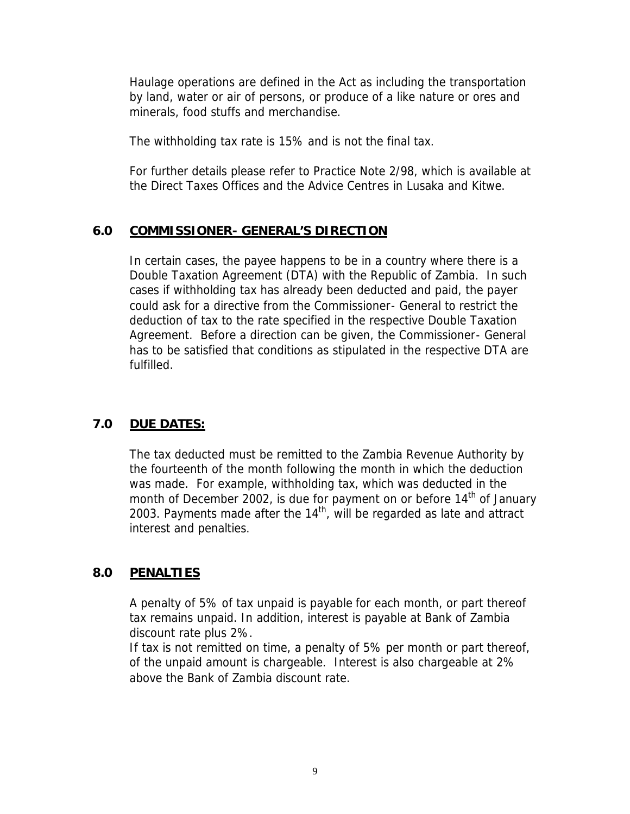Haulage operations are defined in the Act as including the transportation by land, water or air of persons, or produce of a like nature or ores and minerals, food stuffs and merchandise.

The withholding tax rate is 15% and is not the final tax.

For further details please refer to Practice Note 2/98, which is available at the Direct Taxes Offices and the Advice Centres in Lusaka and Kitwe.

# **6.0 COMMISSIONER- GENERAL'S DIRECTION**

In certain cases, the payee happens to be in a country where there is a Double Taxation Agreement (DTA) with the Republic of Zambia. In such cases if withholding tax has already been deducted and paid, the payer could ask for a directive from the Commissioner- General to restrict the deduction of tax to the rate specified in the respective Double Taxation Agreement. Before a direction can be given, the Commissioner- General has to be satisfied that conditions as stipulated in the respective DTA are fulfilled.

# **7.0 DUE DATES:**

The tax deducted must be remitted to the Zambia Revenue Authority by the fourteenth of the month following the month in which the deduction was made. For example, withholding tax, which was deducted in the month of December 2002, is due for payment on or before 14<sup>th</sup> of January 2003. Payments made after the  $14<sup>th</sup>$ , will be regarded as late and attract interest and penalties.

# **8.0 PENALTIES**

A penalty of 5% of tax unpaid is payable for each month, or part thereof tax remains unpaid. In addition, interest is payable at Bank of Zambia discount rate plus 2%.

If tax is not remitted on time, a penalty of 5% per month or part thereof, of the unpaid amount is chargeable. Interest is also chargeable at 2% above the Bank of Zambia discount rate.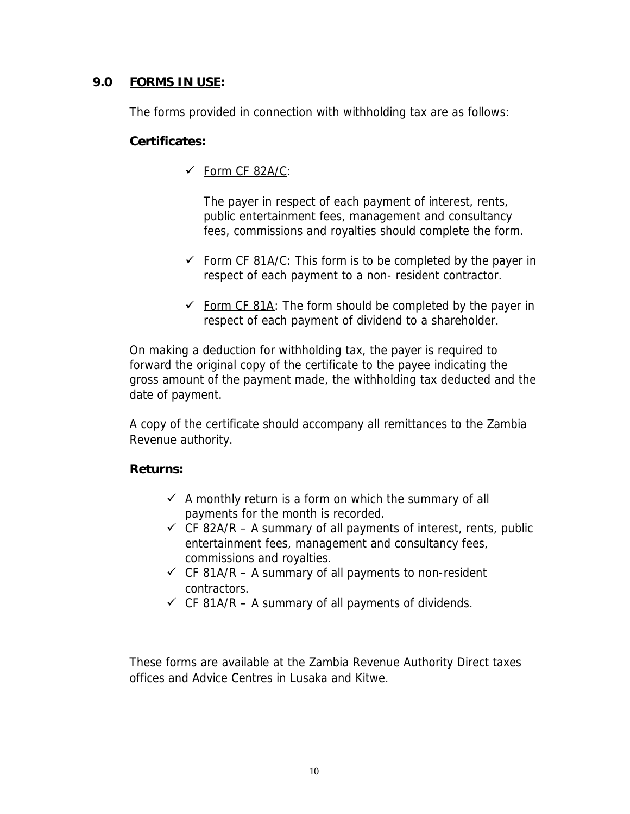# **9.0 FORMS IN USE:**

The forms provided in connection with withholding tax are as follows:

#### **Certificates:**

 $\checkmark$  Form CF 82A/C:

The payer in respect of each payment of interest, rents, public entertainment fees, management and consultancy fees, commissions and royalties should complete the form.

- $\checkmark$  Form CF 81A/C: This form is to be completed by the payer in respect of each payment to a non- resident contractor.
- $\checkmark$  Form CF 81A: The form should be completed by the payer in respect of each payment of dividend to a shareholder.

On making a deduction for withholding tax, the payer is required to forward the original copy of the certificate to the payee indicating the gross amount of the payment made, the withholding tax deducted and the date of payment.

A copy of the certificate should accompany all remittances to the Zambia Revenue authority.

# **Returns:**

- $\checkmark$  A monthly return is a form on which the summary of all payments for the month is recorded.
- $\checkmark$  CF 82A/R A summary of all payments of interest, rents, public entertainment fees, management and consultancy fees, commissions and royalties.
- $\checkmark$  CF 81A/R A summary of all payments to non-resident contractors.
- $\checkmark$  CF 81A/R A summary of all payments of dividends.

These forms are available at the Zambia Revenue Authority Direct taxes offices and Advice Centres in Lusaka and Kitwe.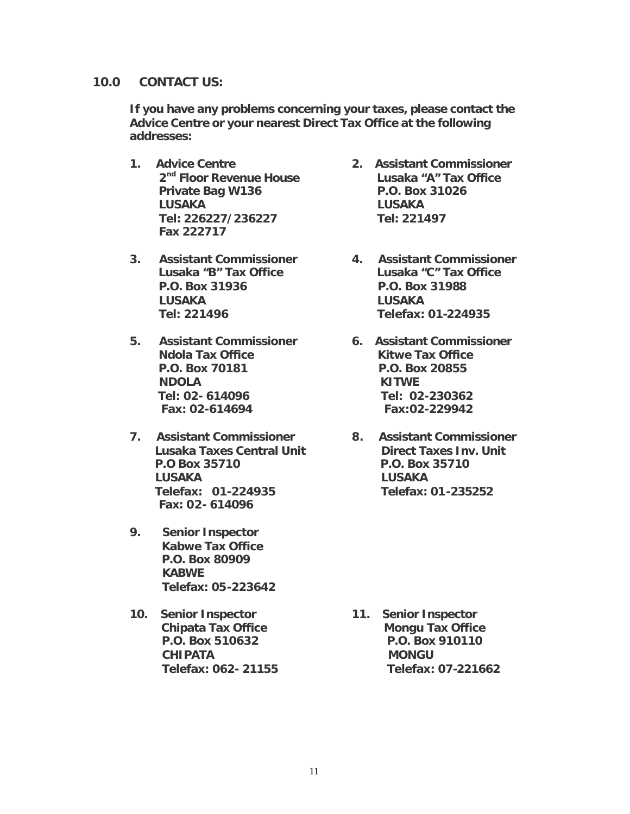#### **10.0 CONTACT US:**

**If you have any problems concerning your taxes, please contact the Advice Centre or your nearest Direct Tax Office at the following addresses:**

- **1. Advice Centre 2. Assistant Commissioner Private Bag W136 P.O. Box 31026 LUSAKA LUSAKA Tel: 226227/236227 Tel: 221497 Fax 222717**
- **P.O. Box 31936 P.O. Box 31988 LUSAKA LUSAKA Tel: 221496 Telefax: 01-224935**
- **5. Assistant Commissioner 6. Assistant Commissioner Ndola Tax Office Community Community Reserves** Kitwe Tax Office  **P.O. Box 70181 P.O. Box 20855 NDOLA KITWE Tel: 02- 614096 Tel: 02-230362 Fax: 02-614694 Fax:02-229942**
- **7. Assistant Commissioner 8. Assistant Commissioner P.O Box 35710 P.O. Box 35710 LUSAKA LUSAKA Telefax: 01-224935 Telefax: 01-235252 Fax: 02- 614096**
- **9. Senior Inspector Kabwe Tax Office P.O. Box 80909 KABWE Telefax: 05-223642**
- **10. Senior Inspector 11. Senior Inspector CHIPATA MONGU**
- **2nd Floor Revenue House Lusaka "A" Tax Office**
- **3. Assistant Commissioner 4. Assistant Commissioner Lusaka "B" Tax Office Lusaka "C" Tax Office**
	-
	- **Lusaka Taxes Central Unit Direct Taxes Inv. Unit**

**Chipata Tax Office Mongu Tax Office P.O. Box 510632 P.O. Box 910110 Telefax: 062- 21155 Telefax: 07-221662**